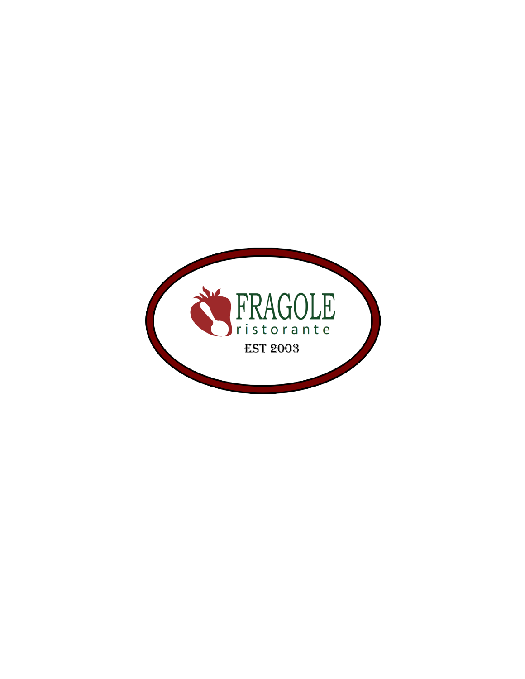